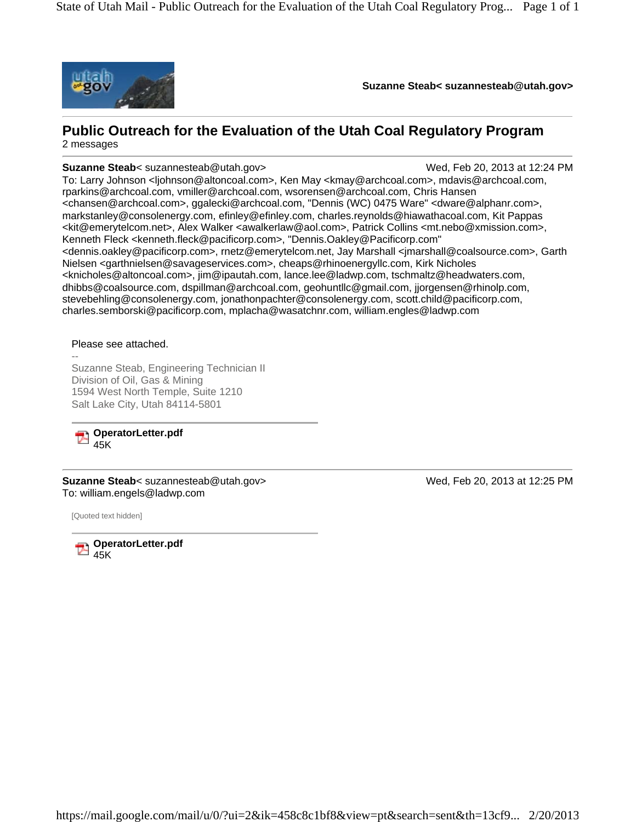

**Suzanne Steab< suzannesteab@utah.gov>**

## **Public Outreach for the Evaluation of the Utah Coal Regulatory Program** 2 messages

### **Suzanne Steab**< suzannesteab@utah.gov> Wed, Feb 20, 2013 at 12:24 PM

To: Larry Johnson <ljohnson@altoncoal.com>, Ken May <kmay@archcoal.com>, mdavis@archcoal.com, rparkins@archcoal.com, vmiller@archcoal.com, wsorensen@archcoal.com, Chris Hansen <chansen@archcoal.com>, ggalecki@archcoal.com, "Dennis (WC) 0475 Ware" <dware@alphanr.com>, markstanley@consolenergy.com, efinley@efinley.com, charles.reynolds@hiawathacoal.com, Kit Pappas <kit@emerytelcom.net>, Alex Walker <awalkerlaw@aol.com>, Patrick Collins <mt.nebo@xmission.com>, Kenneth Fleck <kenneth.fleck@pacificorp.com>, "Dennis.Oakley@Pacificorp.com" <dennis.oakley@pacificorp.com>, rnetz@emerytelcom.net, Jay Marshall <jmarshall@coalsource.com>, Garth Nielsen <garthnielsen@savageservices.com>, cheaps@rhinoenergyllc.com, Kirk Nicholes <knicholes@altoncoal.com>, jim@ipautah.com, lance.lee@ladwp.com, tschmaltz@headwaters.com, dhibbs@coalsource.com, dspillman@archcoal.com, geohuntllc@gmail.com, jjorgensen@rhinolp.com, stevebehling@consolenergy.com, jonathonpachter@consolenergy.com, scott.child@pacificorp.com, charles.semborski@pacificorp.com, mplacha@wasatchnr.com, william.engles@ladwp.com

#### Please see attached.

-- Suzanne Steab, Engineering Technician II Division of Oil, Gas & Mining 1594 West North Temple, Suite 1210 Salt Lake City, Utah 84114-5801

**OperatorLetter.pdf** 45K

**Suzanne Steab**< suzannesteab@utah.gov> Wed, Feb 20, 2013 at 12:25 PM To: william.engels@ladwp.com

[Quoted text hidden]

**OperatorLetter.pdf** 45K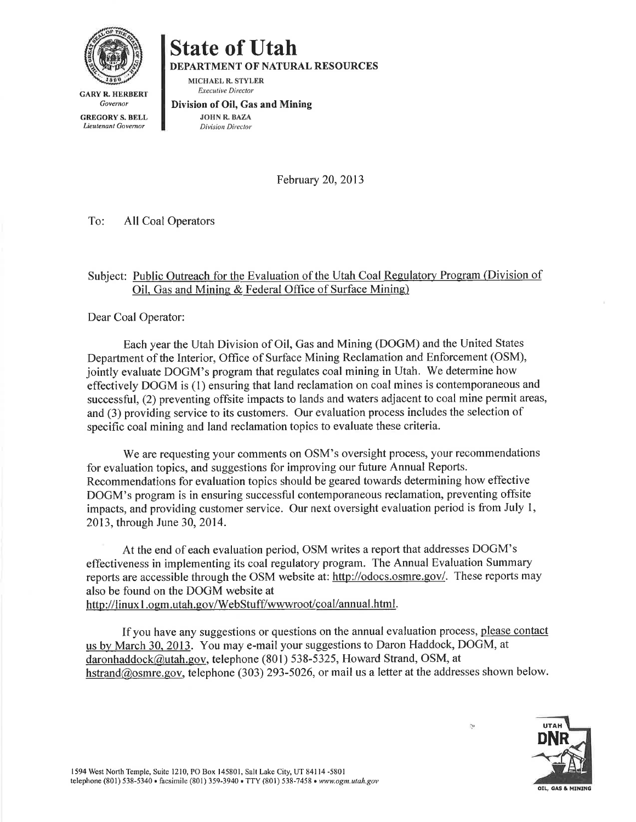

**State of Utah DEPARTMENT OF NATURAL RESOURCES** 

MICHAEL R. STYLER **Executive Director** 

**GARY R. HERBERT** Governor **GREGORY S. BELL** Lieutenant Governor

Division of Oil, Gas and Mining **JOHN R. BAZA** 

**Division Director** 

February 20, 2013

To: **All Coal Operators** 

# Subject: Public Outreach for the Evaluation of the Utah Coal Regulatory Program (Division of Oil, Gas and Mining & Federal Office of Surface Mining)

Dear Coal Operator:

Each year the Utah Division of Oil, Gas and Mining (DOGM) and the United States Department of the Interior, Office of Surface Mining Reclamation and Enforcement (OSM), jointly evaluate DOGM's program that regulates coal mining in Utah. We determine how effectively DOGM is (1) ensuring that land reclamation on coal mines is contemporaneous and successful, (2) preventing offsite impacts to lands and waters adjacent to coal mine permit areas, and (3) providing service to its customers. Our evaluation process includes the selection of specific coal mining and land reclamation topics to evaluate these criteria.

We are requesting your comments on OSM's oversight process, your recommendations for evaluation topics, and suggestions for improving our future Annual Reports. Recommendations for evaluation topics should be geared towards determining how effective DOGM's program is in ensuring successful contemporaneous reclamation, preventing offsite impacts, and providing customer service. Our next oversight evaluation period is from July 1, 2013, through June 30, 2014.

At the end of each evaluation period, OSM writes a report that addresses DOGM's effectiveness in implementing its coal regulatory program. The Annual Evaluation Summary reports are accessible through the OSM website at: http://odocs.osmre.gov/. These reports may also be found on the DOGM website at http://linux1.ogm.utah.gov/WebStuff/wwwroot/coal/annual.html.

If you have any suggestions or questions on the annual evaluation process, please contact us by March 30, 2013. You may e-mail your suggestions to Daron Haddock, DOGM, at daronhaddock@utah.gov, telephone (801) 538-5325, Howard Strand, OSM, at hstrand@osmre.gov, telephone (303) 293-5026, or mail us a letter at the addresses shown below.